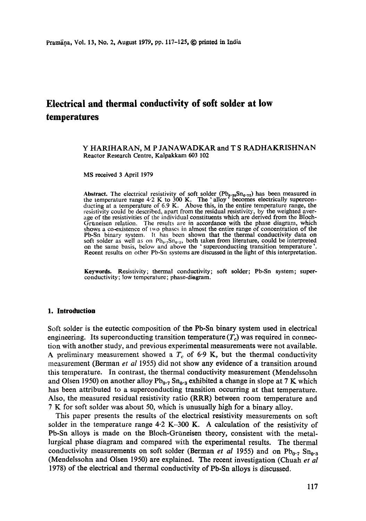# **Electrical and thermal conductivity of soft solder at low temperatures**

#### Y HARIHARAN, M P JANAWADKAR and T S RADHAKRISHNAN Reactor Research Centre, Kalpakkam 603 102

MS received 3 April 1979

Abstract. The electrical resistivity of soft solder ( $Pb_0$ -<sub>28</sub>Sn<sub>0</sub>.<sub>72</sub>) has been measured in the temperature range 4.2 K to 300 K. The 'alloy' becomes electrically superconducting at a temperature of 6.9 K. Above this, in the entire temperature range, the resistivity could be described, apart from the residual resistivity, by the weighted average of the resistivities of the individual constituents which are derived from the Bloch-Gruneisen relation. The results are in accordance with the phase diagram, which shows a co-existence of two phases in almost the entire range of concentration of the Pb-Sn binary system. It has been shown that the thermal conductivity data on soft solder as well as on  $Pb_0$ . Sn<sub>0.3</sub>, both taken from literature, could be interpreted on the same basis, below and above the 'superconducting transition temperature'. Recent results on other Pb-Sn systems are discussed in the light of this interpretation.

**Keywords.** Resistivity; thermal conductivity; soft solder; Pb-Sn system; superconductivity; low temperature; phase-diagram.

# **1. Introduction**

Soft solder is the eutectic composition of the Pb-Sn binary system used in electrical engineering. Its superconducting transition temperature  $(T_c)$  was required in connection with another study, and previous experimental measurements were not available. A preliminary measurement showed a  $T_c$  of 6.9 K, but the thermal conductivity measurement (Berman *et al* 1955) did not show any evidence of a transition around this temperature. In contrast, the thermal conductivity measurement (Mendelssohn and Olsen 1950) on another alloy  $Pb_{0.7}$  Sn<sub>0</sub>. a exhibited a change in slope at 7 K which has been attributed to a superconducting transition occurring at that temperature. Also, the measured residual resistivity ratio (RRR) between room temperature and 7 K for soft solder was about 50, which is unusually high for a binary alloy.

This paper presents the results of the electrical resistivity measurements on soft solder in the temperature range  $4.2$  K-300 K. A calculation of the resistivity of Pb-Sn alloys is made on the Bloch-Griineisen theory, consistent with the metallurgical phase diagram and compared with the experimental results. The thermal conductivity measurements on soft solder (Berman *et al* 1955) and on  $Pb_{0.7}$  Sn<sub>0</sub>.<sub>8</sub> (Mendelssohn and Olsen 1950) are explained. The recent investigation (Chuah *et al*  1978) of the electrical and thermal conductivity of Pb-Sn alloys is discussed.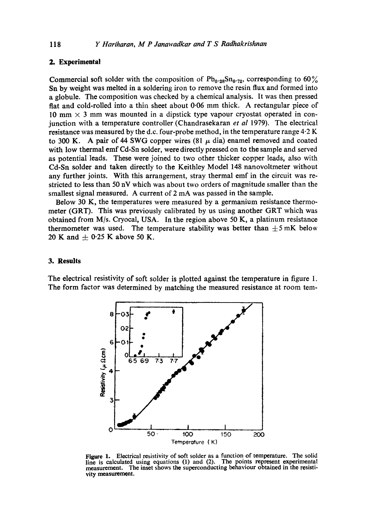# **2. Experimental**

Commercial soft solder with the composition of  $Pb_{0.28}Sn_{0.72}$ , corresponding to 60% Sn by weight was melted in a soldering iron to remove the resin flux and formed into a globule. The composition was checked by a chemical analysis. It was then pressed flat and cold-rolled into a thin sheet about 0.06 mm thick. A rectangular piece of 10 mm  $\times$  3 mm was mounted in a dipstick type vapour cryostat operated in conjunction with a temperature controller (Chandrasekaran *et al* 1979). The electrical resistance was measured by the d.c. four-probe method, in the temperature range 4.2 K to 300 K. A pair of 44 SWG copper wires  $(81 \mu \text{ dia})$  enamel removed and coated with low thermal emf Cd-Sn solder, were directly pressed on to the sample and served as potential leads. These were joined to two other thicker copper leads, also with Cd-Sn solder and taken directly to the Keithley Model 148 nanovoltmeter without any further joints. With this arrangement, stray thermal emf in the circuit was restricted to less than 50 nV which was about two orders of magnitude smaller than the smallest signal measured. A current of 2 mA was passed in the sample.

Below 30 K, the temperatures were measured by a germanium resistance thermometer (GRT). This was previously calibrated by us using another GRT which was obtained from M/s. Cryocal, USA. In the region above 50 K, a platinum resistance thermometer was used. The temperature stability was better than  $\pm$ 5 mK below 20 K and  $\pm$  0.25 K above 50 K.

# **3. Results**

The electrical resistivity of soft solder is plotted against the temperature in figure 1. The form factor was determined by matching the measured resistance at room tem-



Figure 1. Electrical resistivity of soft solder as a function of temperature. The solid line is calculated using equations (1) and (2). The points represent experimental measurement. The inset shows the superconducting behaviour obtained in the resistivity measurement.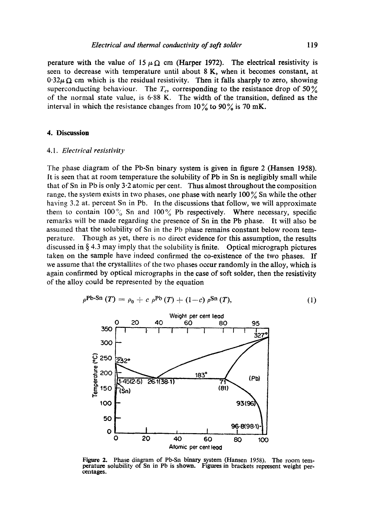perature with the value of 15  $\mu \Omega$  cm (Harper 1972). The electrical resistivity is seen to decrease with temperature until about 8 K, when it becomes constant, at  $0.32\mu\Omega$  cm which is the residual resistivity. Then it falls sharply to zero, showing superconducting behaviour. The  $T_c$ , corresponding to the resistance drop of 50  $\frac{9}{6}$ of the normal state value, is 6.88 K. The width of the transition, defined as the interval in which the resistance changes from  $10\%$  to  $90\%$  is 70 mK.

### **4. Discussion**

### *4.1. Electrical resistivity*

The phase diagram of the Pb-Sn binary system is given in figure 2 (Hansen 1958). It is seen that at room temperature the solubility of Pb in Sn is negligibly small while that of Sn in Pb is only 3.2 atomic per cent. Thus almost throughout the composition range, the system exists in two phases, one phase with nearly  $100\%$  Sn while the other having 3.2 at, percent Sn in Pb. In the discussions that follow, we will approximate them to contain  $100\%$  Sn and  $100\%$  Pb respectively. Where necessary, specific remarks will be made regarding the presence of Sn in the Pb phase. It will also be assumed that the solubility of Sn in the Pb phase remains constant below room temperature. Though as yet, there is no direct evidence for this assumption, the results discussed in  $\S 4.3$  may imply that the solubility is finite. Optical micrograph pictures taken on the sample have indeed confirmed the co-existence of the two phases. If we assume that the crystallites of the two phases occur randomly in the alloy, which is again confirmed by optical micrographs in the case of soft solder, then the resistivity of the alloy could be represented by the equation

$$
\rho^{\text{Pb-Sn}}(T) = \rho_0 + c \rho^{\text{Pb}}(T) + (1-c) \rho^{\text{Sn}}(T), \tag{1}
$$



Figure 2. Phase diagram of Pb-Sn binary system (Hansen 1958). The room temperature solubility of Sn in Pb is shown. Figures in brackets represent weight percentages.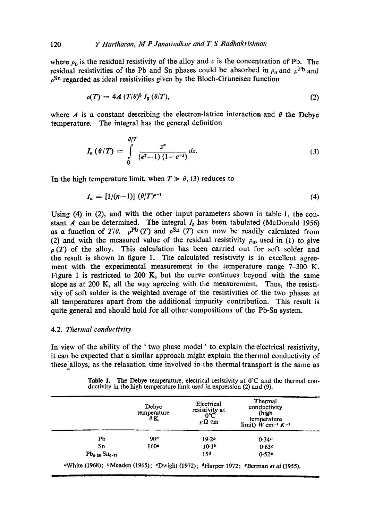where  $\rho_0$  is the residual resistivity of the alloy and c is the concentration of Pb. The residual resistivities of the Pb and Sn phases could be absorbed in  $\rho_0$  and  $\rho^{\text{Pb}}$  and  $\rho$ Sn regarded as ideal resistivities given by the Bloch-Grüneisen function

$$
\rho(T) = 4A (T/\theta)^5 I_5 (\theta/T), \qquad (2)
$$

where A is a constant describing the electron-lattice interaction and  $\theta$  the Debye temperature. The integral has the general definition

$$
I_n(\theta/T) = \int\limits_0^{\theta/T} \frac{z^n}{(e^z - 1)(1 - e^{-z})} dz.
$$
 (3)

In the high temperature limit, when  $T \gg \theta$ , (3) reduces to

$$
I_n = [1/(n-1)] \; (\theta/T)^{n-1} \tag{4}
$$

Using (4) in (2), and with the other input parameters shown in table 1, the constant  $\vec{A}$  can be determined. The integral  $I_5$  has been tabulated (McDonald 1956) as a function of  $T/\theta$ .  $\rho^{Pb}(T)$  and  $\rho^{Sn}(T)$  can now be readily calculated from (2) and with the measured value of the residual resistivity  $\rho_0$ , used in (1) to give  $\rho(T)$  of the alloy. This calculation has been carried out for soft solder and the result is shown in figure 1. The calculated resistivity is in excellent agreement with the experimental measurement in the temperature range 7-300 K. Figure 1 is restricted to 200 K, but the curve continues beyond with the same slope as at 200 K, all the way agreeing with the measurement. Thus, the resistivity of soft solder is the weighted average of the resistivities of the two phases at all temperatures apart from the additional impurity contribution. This result is quite general and should hold for all other compositions of the Pb-Sn system.

# 4.2. *Thermal conductivity*

In view of the ability of the ' two phase model ' to explain the electrical resistivity, it can be expected that a similar approach might explain the thermal conductivity of these'alloys, as the relaxation time involved in the thermal transport is the same as

Table 1. The Debye temperature, electrical resistivity at 0°C and the thermal conductivity in the high temperature limit used in expression (2) and (9).

|                         | Debye<br>temperature<br>$\theta$ K | Electrical<br>resistivity at<br>$0^{\circ}$ C<br>$\mu\Omega$ cm | Thermal<br>conductivity<br>(high<br>temperature<br>limit) $W$ cm <sup>-1</sup> $K^{-1}$ |
|-------------------------|------------------------------------|-----------------------------------------------------------------|-----------------------------------------------------------------------------------------|
| Pb                      | 90 <sup>a</sup>                    | 19.2 <sub>b</sub>                                               | 0.34c                                                                                   |
| Sn                      | 160a                               | 10.1 <sup>b</sup>                                               | 0.63c                                                                                   |
| $Pb_{0.28}$ $Sn_{0.72}$ |                                    | 15d                                                             | 0.52e                                                                                   |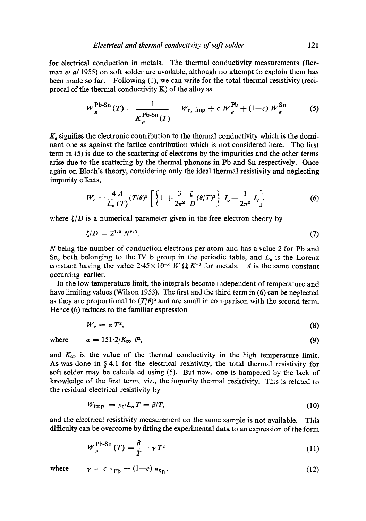for electrical conduction in metals. The thermal conductivity measurements (Berman *et al* 1955) on soft solder are available, although no attempt to explain them has been made so far. Following (1), we can write for the total thermal resistivity (reciprocal of the thermal conductivity  $K$ ) of the alloy as

$$
W_e^{\text{Pb-Sn}}(T) = \frac{1}{K_e^{\text{Pb-Sn}}(T)} = W_{e, \text{ imp}} + c W_e^{\text{Pb}} + (1-c) W_e^{\text{Sn}}.
$$
 (5)

 $K<sub>e</sub>$  signifies the electronic contribution to the thermal conductivity which is the dominant one as against the lattice contribution which is not considered here. The first term in (5) is due to the scattering of electrons by the impurities and the other terms arise due to the scattering by the thermal phonons in Pb and Sn respectively. Once again on Bloch's theory, considering only the ideal thermal resistivity and neglecting impurity effects,

$$
W_e = \frac{4 A}{L_n(T)} (T/\theta)^5 \left[ \left\{ 1 + \frac{3}{2\pi^2} \frac{\zeta}{D} (\theta/T)^2 \right\} I_5 - \frac{1}{2\pi^2} I_7 \right], \tag{6}
$$

where  $\zeta/D$  is a numerical parameter given in the free electron theory by

$$
\zeta/D = 2^{1/3} N^{2/3}.
$$
 (7)

N being the number of conduction electrons per atom and has a value 2 for Pb and Sn, both belonging to the IV b group in the periodic table, and  $L_n$  is the Lorenz constant having the value  $2.45 \times 10^{-8}$  W  $\Omega$  K<sup>-2</sup> for metals. A is the same constant occurring earlier.

In the low temperature limit, the integrals become independent of temperature and have limiting values (Wilson 1953). The first and the third term in (6) can be neglected as they are proportional to  $(T/\theta)^5$  and are small in comparison with the second term. Hence (6) reduces to the familiar expression

$$
W_e = a T^2, \tag{8}
$$

where  $a = 151.2/K_{\infty} \theta^2$ , (9) and  $K_{\infty}$  is the value of the thermal conductivity in the high temperature limit.

As was done in  $\S 4.1$  for the electrical resistivity, the total thermal resistivity for soft solder may be calculated using (5). But now, one is hampered by the lack of knowledge of the first term, viz., the impurity thermal resistivity. This is related to the residual electrical resistivity by

$$
W_{\rm imp} = \rho_0 / L_n T = \beta / T,\tag{10}
$$

and the electrical resistivity measurement on the same sample is not available. This difficulty can be overcome by fitting the experimental data to an expression of the form

$$
W_e^{\text{Pb-Sn}}(T) = \frac{\beta}{T} + \gamma T^2 \tag{11}
$$

where 
$$
\gamma = c a_{Fb} + (1-c) a_{Sn}
$$
. (12)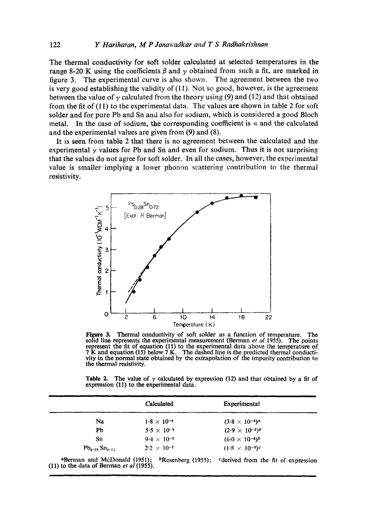The thermal conductivity for soft solder calculated at selected temperatures in the range 8-20 K using the coefficients  $\beta$  and  $\gamma$  obtained from such a fit, are marked in figure 3. The experimental curve is also shown. The agreement between the two is very good establishing the validity of (11). Not so good, however, is the agreement between the value of  $\gamma$  calculated from the theory using (9) and (12) and that obtained from the fit of (11) to the experimental data. The values are shown in table 2 for soft solder and for pure Pb and Sn and also for sodium, which is considered a good Bloch metal. In the case of sodium, the corresponding coefficient is  $\alpha$  and the calculated and the experimental values are given from (9) and (8).

It is seen from table 2 that there is no agreement between the calculated and the experimental  $\gamma$  values for Pb and Sn and even for sodium. Thus it is not surprising that the values do not agree for soft solder. In all the cases, however, the experimental value is smaller implying a lower phonon scattering contribution to the thermal resistivity.



Figure 3. Thermal conductivity of soft solder as a function of temperature. The solid line represents the experimental measurement (Berman *et al* 1955). The points represent the fit of equation (11) to the experimental data above the temperature of 7 K and equation (15) below 7 K. The dashed line is the predicted thermal conductivity in the normal state obtained by the extrapolation of the impurity contribution to the thermal resistivity.

Table 2. The value of  $\gamma$  calculated by expression (12) and that obtained by a fit of expression (11) to the experimental data.

|                         | Calculated           | Experimental                        |  |
|-------------------------|----------------------|-------------------------------------|--|
| Na                      | $1.8 \times 10^{-3}$ | $(3.8 \times 10^{-4})$ <sup>a</sup> |  |
| Pb                      | $5.5 \times 10^{-3}$ | $(2.9 \times 10^{-3})^b$            |  |
| Sn                      | $9.4 \times 10^{-3}$ | $(6.0 \times 10^{-4})^b$            |  |
| $Pb_{0.28}$ $Sn_{0.72}$ | $2.2 \times 10^{-2}$ | $(1.8 \times 10^{-3})^c$            |  |
|                         |                      |                                     |  |

<sup>a</sup>Berman and McDonald (1951); (I1) to the data of Berman *et al* (1955).  $b$ Rosenberg (1955); cderived from the fit of expression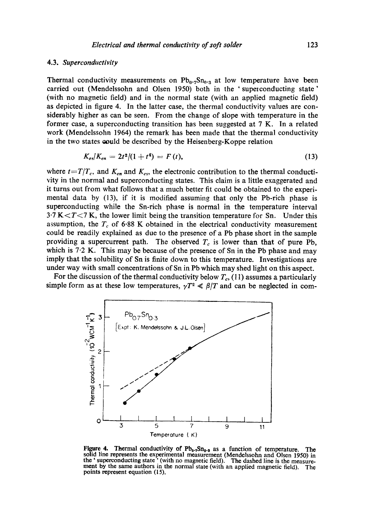#### 4.3. *Superconductivity*

Thermal conductivity measurements on  $Pb_0.7Sn_{0.3}$  at low temperature have been carried out (Mendelssohn and Olsen 1950) both in the 'superconducting state' (with no magnetic field) and in the normal state (with an applied magnetic field) as depicted in figure 4. In the latter case, the thermal conductivity values are considerably higher as can be seen. From the change of slope with temperature in the former case, a superconducting transition has been suggested at 7 K. In a related work (Mendelssohn 1964) the remark has been made that the thermal conductivity in the two states could be described by the Heisenberg-Koppe relation

$$
K_{es}/K_{en} = 2t^2/(1+t^4) = F(t), \qquad (13)
$$

where  $t=T/T_c$ , and  $K_{en}$  and  $K_{es}$ , the electronic contribution to the thermal conductivity in the normal and superconducting states. This claim is a little exaggerated and it turns out from what follows that a much better fit could be obtained to the experimental data by (13), if it is modified assuming that only the Pb-rich phase is superconducting while the Sn-rieh phase is normal in the temperature interval  $3.7 K < T < 7 K$ , the lower limit being the transition temperature for Sn. Under this assumption, the  $T_c$  of 6.88 K obtained in the electrical conductivity measurement **could** be readily explained as due to the presence of a Pb phase short in the sample providing a supercurrent path. The observed  $T_c$  is lower than that of pure Pb, which is  $7.2$  K. This may be because of the presence of Sn in the Pb phase and may imply that the solubility of Sn is finite down to this temperature. Investigations are under way with small concentrations of Sn in Pb which may shed light on this aspect.

For the discussion of the thermal conductivity below  $T_c$ , (11) assumes a particularly simple form as at these low temperatures,  $\gamma T^2 \ll \beta/T$  and can be neglected in com-



Figure 4. Thermal conductivity of Pb<sub>0</sub>., Sn<sub>0</sub>.<sub>3</sub> as a function of temperature. The **solid line represents the experimental measurement (Mendelssohn and Olsen 1950) in the "superconducting state "(with no magnetic field). The dashed line is the measurement by the same authors in the normal state (with an applied magnetic field). The points represent equation (l 5).**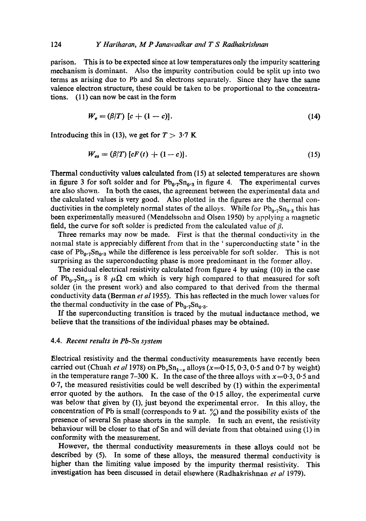parison. This is to be expected since at low temperatures only the impurity scattering mechanism is dominant. Also the impurity contribution could be split up into two terms as arising due to Pb and Sn electrons separately. Since they have the same valence electron structure, these could be taken to be proportional to the concentrations. (11) can now be cast in the form

$$
W_e = (\beta/T) \left[ c + (1 - c) \right]. \tag{14}
$$

Introducing this in (13), we get for  $T > 3.7$  K

$$
W_{es} = (\beta/T) \left[ cF(t) + (1-c) \right]. \tag{15}
$$

Thermal conductivity values calculated from (15) at selected temperatures are shown in figure 3 for soft solder and for  $Pb_0.2Sn_0.3$  in figure 4. The experimental curves are also shown. In both the cases, the agreement between the experimental data and the calculated values is very good. Also plotted in the figures are the thermal conductivities in the completely normal states of the alloys. While for  $Pb_{0.7}Sn_{0.3}$  this has been experimentally measured (Mendelssohn and Olseu 1950) by applying a magnetic field, the curve for soft solder is predicted from the calculated value of  $\beta$ .

Three remarks may now be made. First is that the thermal conductivity in the normal state is appreciably different from that in the 'superconducting state' in the case of  $Pb_0.7Sn_0.3$  while the difference is less perceivable for soft solder. This is not surprising as the superconducting phase is more predominant in the former alloy.

The residual electrical resistivity calculated from figure 4 by using (10) in the case of Pb<sub>0</sub>.<sub>7</sub>Sn<sub>0</sub>.<sub>3</sub> is 8  $\mu\Omega$  cm which is very high compared to that measured for soft solder (in the present work) and also compared to that derived from the thermal conductivity data (Berman *et a11955).* This has reflected in the much lower values for the thermal conductivity in the case of  $Pb_0.5n_{0.3}$ .

If the superconducting transition is traced by the mutual inductance method, we believe that the transitions of the individual phases may be obtained.

# 4.4. *Recent results in Pb-Sn system*

Electrical resistivity and the thermal conductivity measurements have recently been carried out (Chuah *et al* 1978) on  $Pb_xSn_{1-x}$  alloys (x=0.15, 0.3, 0.5 and 0.7 by weight) in the temperature range 7-300 K. In the case of the three alloys with  $x=0.3$ , 0.5 and 0.7, the measured resistivities could be well described by (1) within the experimental error quoted by the authors. In the case of the  $0.15$  alloy, the experimental curve was below that given by (I), just beyond the experimental error. In this alloy, the concentration of Pb is small (corresponds to 9 at.  $\frac{\%}{\%}$ ) and the possibility exists of the presence of several Sn phase shorts in the sample. In such an event, the resistivity behaviour will be closer to that of Sn and will deviate from that obtained using (1) in conformity with the measurement.

However, the thermal conductivity measurements in these alloys could not be described by (5). In some of these alloys, the measured thermal conductivity is higher than the limiting value imposed by the impurity thermal resistivity. This investigation has been discussed in detail elsewhere (Radhakrishnan *et al* 1979).